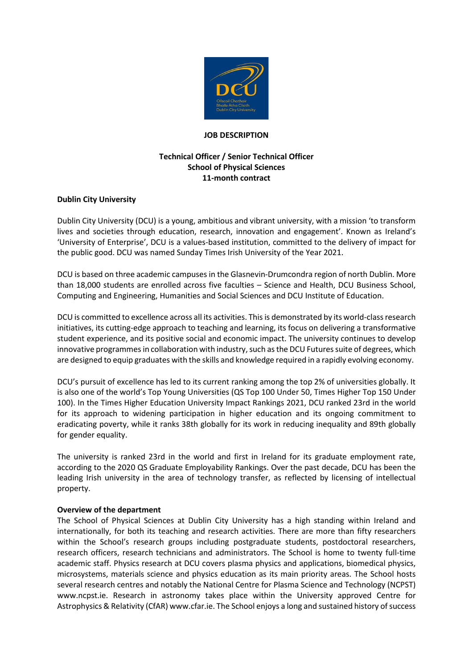

### **JOB DESCRIPTION**

## **Technical Officer / Senior Technical Officer School of Physical Sciences 11-month contract**

## **Dublin City University**

Dublin City University (DCU) is a young, ambitious and vibrant university, with a mission 'to transform lives and societies through education, research, innovation and engagement'. Known as Ireland's 'University of Enterprise', DCU is a values-based institution, committed to the delivery of impact for the public good. DCU was named Sunday Times Irish University of the Year 2021.

DCU is based on three academic campuses in the Glasnevin-Drumcondra region of north Dublin. More than 18,000 students are enrolled across five faculties – Science and Health, DCU Business School, Computing and Engineering, Humanities and Social Sciences and DCU Institute of Education.

DCU is committed to excellence across all its activities. This is demonstrated by its world-class research initiatives, its cutting-edge approach to teaching and learning, its focus on delivering a transformative student experience, and its positive social and economic impact. The university continues to develop innovative programmes in collaboration with industry, such as the DCU Futures suite of degrees, which are designed to equip graduates with the skills and knowledge required in a rapidly evolving economy.

DCU's pursuit of excellence has led to its current ranking among the top 2% of universities globally. It is also one of the world's Top Young Universities (QS Top 100 Under 50, Times Higher Top 150 Under 100). In the Times Higher Education University Impact Rankings 2021, DCU ranked 23rd in the world for its approach to widening participation in higher education and its ongoing commitment to eradicating poverty, while it ranks 38th globally for its work in reducing inequality and 89th globally for gender equality.

The university is ranked 23rd in the world and first in Ireland for its graduate employment rate, according to the 2020 QS Graduate Employability Rankings. Over the past decade, DCU has been the leading Irish university in the area of technology transfer, as reflected by licensing of intellectual property.

### **Overview of the department**

The School of Physical Sciences at Dublin City University has a high standing within Ireland and internationally, for both its teaching and research activities. There are more than fifty researchers within the School's research groups including postgraduate students, postdoctoral researchers, research officers, research technicians and administrators. The School is home to twenty full-time academic staff. Physics research at DCU covers plasma physics and applications, biomedical physics, microsystems, materials science and physics education as its main priority areas. The School hosts several research centres and notably the National Centre for Plasma Science and Technology (NCPST) www.ncpst.ie. Research in astronomy takes place within the University approved Centre for Astrophysics & Relativity (CfAR) www.cfar.ie. The School enjoys a long and sustained history of success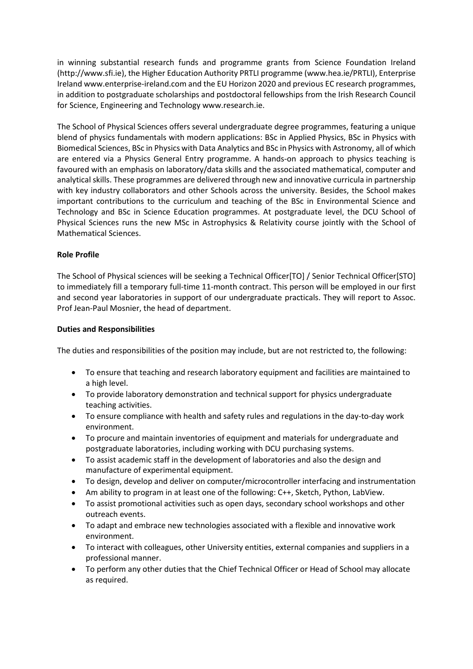in winning substantial research funds and programme grants from Science Foundation Ireland (http://www.sfi.ie), the Higher Education Authority PRTLI programme (www.hea.ie/PRTLI), Enterprise Ireland www.enterprise-ireland.com and the EU Horizon 2020 and previous EC research programmes, in addition to postgraduate scholarships and postdoctoral fellowships from the Irish Research Council for Science, Engineering and Technology www.research.ie.

The School of Physical Sciences offers several undergraduate degree programmes, featuring a unique blend of physics fundamentals with modern applications: BSc in Applied Physics, BSc in Physics with Biomedical Sciences, BSc in Physics with Data Analytics and BSc in Physics with Astronomy, all of which are entered via a Physics General Entry programme. A hands-on approach to physics teaching is favoured with an emphasis on laboratory/data skills and the associated mathematical, computer and analytical skills. These programmes are delivered through new and innovative curricula in partnership with key industry collaborators and other Schools across the university. Besides, the School makes important contributions to the curriculum and teaching of the BSc in Environmental Science and Technology and BSc in Science Education programmes. At postgraduate level, the DCU School of Physical Sciences runs the new MSc in Astrophysics & Relativity course jointly with the School of Mathematical Sciences.

# **Role Profile**

The School of Physical sciences will be seeking a Technical Officer[TO] / Senior Technical Officer[STO] to immediately fill a temporary full-time 11-month contract. This person will be employed in our first and second year laboratories in support of our undergraduate practicals. They will report to Assoc. Prof Jean-Paul Mosnier, the head of department.

### **Duties and Responsibilities**

The duties and responsibilities of the position may include, but are not restricted to, the following:

- To ensure that teaching and research laboratory equipment and facilities are maintained to a high level.
- To provide laboratory demonstration and technical support for physics undergraduate teaching activities.
- To ensure compliance with health and safety rules and regulations in the day-to-day work environment.
- To procure and maintain inventories of equipment and materials for undergraduate and postgraduate laboratories, including working with DCU purchasing systems.
- To assist academic staff in the development of laboratories and also the design and manufacture of experimental equipment.
- To design, develop and deliver on computer/microcontroller interfacing and instrumentation
- Am ability to program in at least one of the following: C++, Sketch, Python, LabView.
- To assist promotional activities such as open days, secondary school workshops and other outreach events.
- To adapt and embrace new technologies associated with a flexible and innovative work environment.
- To interact with colleagues, other University entities, external companies and suppliers in a professional manner.
- To perform any other duties that the Chief Technical Officer or Head of School may allocate as required.